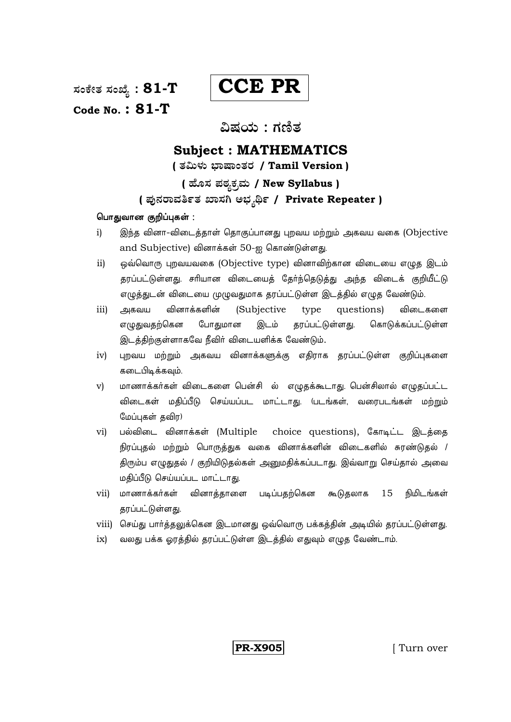ಸಂಕೇತ ಸಂಖ್ಯೆ :  $81$ - $T$ Code No.:  $81-T$ 

**CCE PR** 

# ವಿಷಯ : ಗಣಿತ

# **Subject: MATHEMATICS**

( ತಮಿಳು ಭಾಷಾಂತರ / Tamil Version )

# ( ಹೊಸ ಪಠ್ಯಕ್ರಮ / New Syllabus )

## (ಪುನರಾವರ್ತಿತ ಖಾಸಗಿ ಅಭ್ಯರ್ಥಿ / Private Repeater )

## பொதுவான குறிப்புகள்:

- இந்த வினா-விடைத்தாள் தொகுப்பானது புறவய மற்றும் அகவய வகை (Objective  $i)$ and Subjective) வினாக்கள் 50-ஐ கொண்டுள்ளது.
- ஒவ்வொரு புறவயவகை (Objective type) வினாவிற்கான விடையை எழுத இடம்  $ii)$ தரப்பட்டுள்ளது. சரியான விடையைத் தேர்ந்தெடுத்து அந்த விடைக் குறியீட்டு எழுத்துடன் விடையை முழுவதுமாக தரப்பட்டுள்ள இடத்தில் எழுத வேண்டும்.
- வினாக்களின் (Subjective questions)  $iii)$ அகவய type விடைகளை எழுதுவதற்கென போதுமான இடம் தரப்பட்டுள்ளது. கொடுக்கப்பட்டுள்ள இடத்திற்குள்ளாகவே நீவிர் விடையளிக்க வேண்டும்.
- புறவய மற்றும் அகவய வினாக்களுக்கு எதிராக தரப்பட்டுள்ள குறிப்புகளை  $iv)$ கடைபிடிக்கவும்.
- மாணாக்கர்கள் விடைகளை பென்சி ல் எழுதக்கூடாது. பென்சிலால் எழுதப்பட்ட  $\mathbf{v})$ விடைகள் மதிப்பீடு செய்யப்பட மாட்டாது. (படங்கள், வரைபடங்கள் மற்றும் மேப்புகள் தவிர)
- பல்விடை வினாக்கள் (Multiple choice questions), கோடிட்ட இடத்தை  $\mathbf{v}$ i) நிரப்புதல் மற்றும் பொருத்துக வகை வினாக்களின் விடைகளில் சுரண்டுதல் / திரும்ப எழுதுதல் / குறியிடுதல்கள் அனுமதிக்கப்படாது. இவ்வாறு செய்தால் அவை மதிப்பீடு செய்யப்பட மாட்டாது.
- மாணாக்கர்கள்  $vii)$ வினாக்காளை படிப்பதற்கென கூடுதலாக 15 நிமிடங்கள் தரப்பட்டுள்ளது.
- viii) செய்து பார்த்தலுக்கென இடமானது ஒவ்வொரு பக்கத்தின் அடியில் தரப்பட்டுள்ளது.
- வலது பக்க ஓரத்தில் தரப்பட்டுள்ள இடத்தில் எதுவும் எழுத வேண்டாம்.  $ix)$

**PR-X905**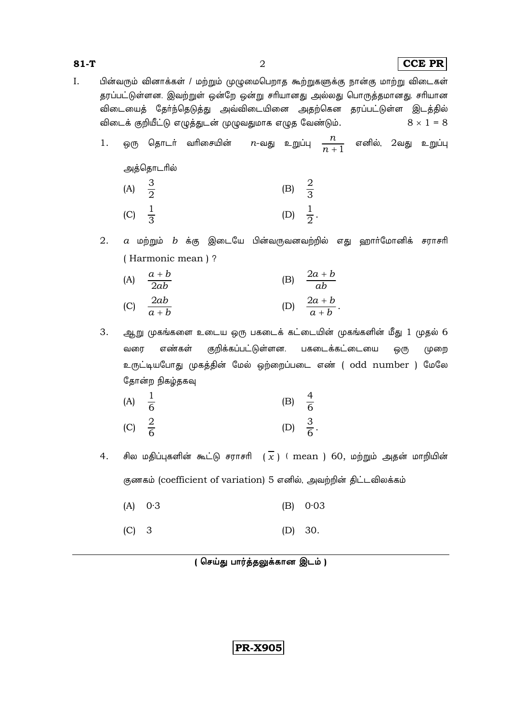$81-T$ 

 $\overline{2}$ 

பின்வரும் வினாக்கள் / மற்றும் முழுமைபெறாத கூற்றுகளுக்கு நான்கு மாற்று விடைகள்  $I.$ தரப்பட்டுள்ளன. இவற்றுள் ஒன்றே ஒன்று சரியானது அல்லது பொருத்தமானது. சரியான விடையைத் தேர்ந்தெடுத்து அவ்விடையினை அதற்கென தரப்பட்டுள்ள இடத்தில் விடைக் குறியீட்டு எழுத்துடன் முழுவதுமாக எழுத வேண்டும்.  $8 \times 1 = 8$ 

- $n$ -வது உறுப்பு  $\frac{n}{n+1}$  எனில், 2வது உறுப்பு ஒரு தொடர் வரிசையின் 1. அத்தொடரில்  $\frac{3}{2}$ (B)  $\frac{2}{3}$  $(A)$ (D)  $\frac{1}{2}$ .  $\frac{1}{3}$  $(C)$
- 2.  $a$  மற்றும்  $b$  க்கு இடையே பின்வருவனவற்றில் எது ஹார்மோனிக் சராசரி (Harmonic mean)?
	- (B)  $\frac{2a+b}{ab}$  $\frac{a+b}{2ab}$  $(A)$ (D)  $\frac{2a+b}{a+b}$ .  $\frac{2ab}{a+b}$  $(C)$

3. ஆறு முகங்களை உடைய ஒரு பகடைக் கட்டையின் முகங்களின் மீது 1 முதல் 6 குறிக்கப்பட்டுள்ளன. பகடைக்கட்டையை வரை எண்கள் ஒரு முறை உருட்டியபோது முகத்தின் மேல் ஒற்றைப்படை எண் ( odd number ) மேலே தோன்ற நிகழ்தகவு

- $rac{1}{6}$ (B)  $\frac{4}{6}$  $(A)$ (D)  $\frac{3}{6}$ .  $\frac{2}{6}$  $(C)$
- சில மதிப்புகளின் கூட்டு சராசரி  $(\frac{1}{x})$  ( mean ) 60, மற்றும் அதன் மாறியின்  $4.$ குணகம் (coefficient of variation) 5 எனில், அவற்றின் திட்டவிலக்கம்
	- $0.3$  $(A)$  $(B)$  $0.03$
	- $(C)$  $\overline{3}$  $(D)$  30.

**PR-X905**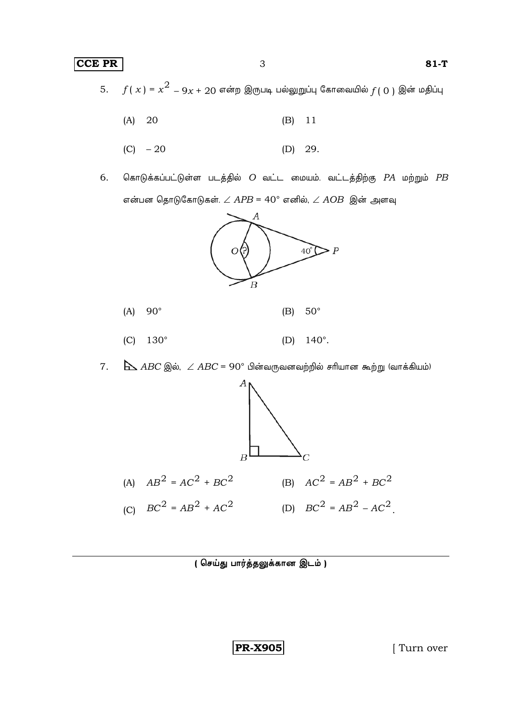$f(x)$  =  $x^2$   $9x + 20$  என்ற இருபடி பல்லுறுப்பு கோவையில் $f(0)$  இன் மதிப்பு 5.

- $(A)$ 20  $(B)$ 11
- $(C) 20$  $(D)$  29.
- கொடுக்கப்பட்டுள்ள படத்தில்  $O$  வட்ட மையம். வட்டத்திற்கு  $PA$  மற்றும்  $PB$ 6. என்பன தொடுகோடுகள்.  $\angle$  APB = 40° எனில்,  $\angle$  AOB இன் அளவு





- $(C)$  $130^\circ$  $140^\circ$ .  $(D)$
- $7.$  $\Delta$  ABC இல்,  $\angle$  ABC = 90° பின்வருவனவற்றில் சரியான கூற்று (வாக்கியம்)



( செய்து பார்த்தலுக்கான இடம் )

**PR-X905** 

[Turn over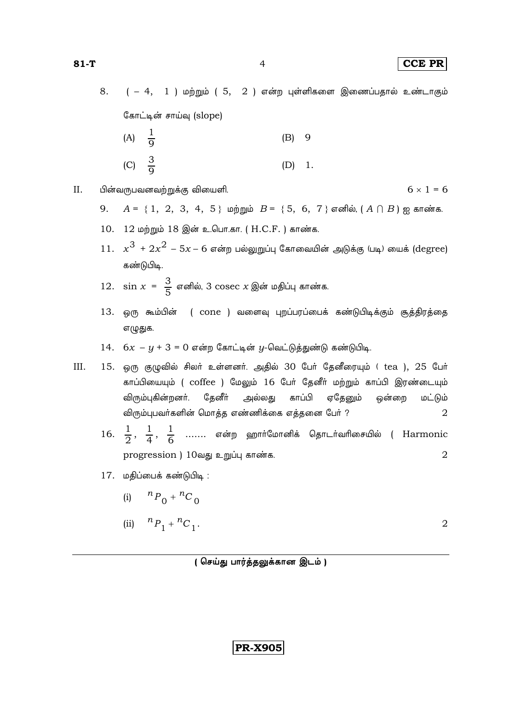$6 \times 1 = 6$ 

8.  $(-4, 1)$  மற்றும் ( 5,  $2$  ) என்ற புள்ளிகளை இணைப்பதால் உண்டாகும் கோட்டின் சாய்வு (slope)

- (A)  $\frac{1}{9}$  $(B)$  9 (C)  $\frac{3}{9}$  $\overline{1}$ .  $(D)$
- II. பின்வருபவனவற்றுக்கு வியைளி.
	- 9.  $A = \{1, 2, 3, 4, 5\}$  மற்றும்  $B = \{5, 6, 7\}$  எனில்,  $(A \cap B)$  ஐ காண்க.
	- 10. 12 மற்றும் 18 இன் உ.பொ.கா. (H.C.F.) காண்க.
	- $11. x<sup>3</sup> + 2x<sup>2</sup> 5x 6$  என்ற பல்லுறுப்பு கோவையின் அடுக்கு (படி) யைக் (degree) கண்டுபிடி.
	- 12.  $\sin x = \frac{3}{5}$  எனில், 3  $\csc x$  இன் மதிப்பு காண்க
	- 13. ஒரு கூம்பின் ( cone ) வளைவு புறப்பரப்பைக் கண்டுபிடிக்கும் சூத்திரத்தை எழுதுக.
	- $14.$   $6x y + 3 = 0$  என்ற கோட்டின்  $y$ -வெட்டுத்துண்டு கண்டுபிடி.
- III. 15. ஒரு குழுவில் சிலர் உள்ளனர். அதில் 30 பேர் தேனீரையும் (tea ), 25 பேர் காப்பியையும் (coffee ) மேலும் 16 பேர் தேனீர் மற்றும் காப்பி இரண்டையும் விரும்புகின்றனர். தேனீர் அல்லது காப்பி ஏதேனும் ஒன்றை மட்டும் விரும்புபவர்களின் மொத்த எண்ணிக்கை எத்தனை பேர் ?  $\overline{2}$ 
	- 16.  $\frac{1}{2}$ ,  $\frac{1}{4}$ ,  $\frac{1}{6}$  ....... என்ற ஹார்மோனிக் தொடர்வரிசையில் ( Harmonic progression) 10வது உறுப்பு காண்க.  $\overline{2}$
	- 17. மதிப்பைக் கண்டுபிடி :
		- (i)  ${}^{n}P_0 + {}^{n}C_0$
		- (ii)  ${}^{n}P_{1} + {}^{n}C_{1}$ .  $\overline{2}$

(செய்து பார்த்தலுக்கான இடம்)

**PR-X905**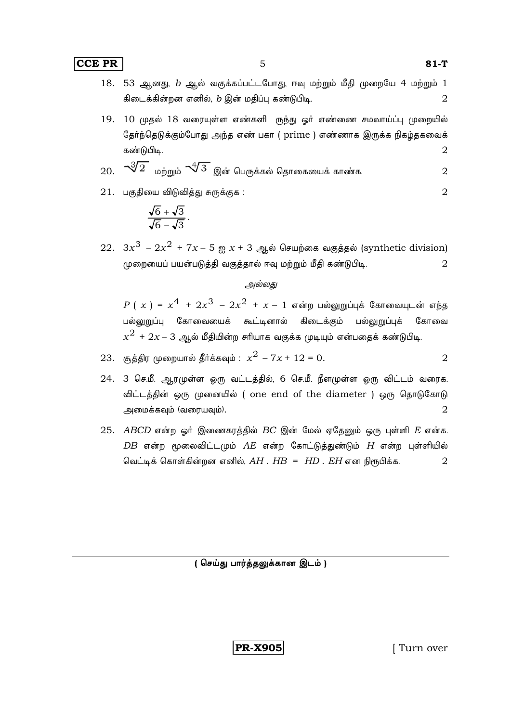**CCE PR** 5 81-T

- 18. 53 ஆனது,  $b$  ஆல் வகுக்கப்பட்டபோது, ஈவு மற்றும் மீதி முறையே 4 மற்றும் 1 கிடைக்கின்றன எனில்,  $b$  இன் மதிப்பு கண்டுபிடி.  $2\,$
- $19.$   $10$  முதல்  $18$  வரையுள்ள எண்களி ருந்து ஓர் எண்ணை சமவாய்ப்பு முறையில் தேர்ந்தெடுக்கும்போது அந்த எண் பகா ( prime ) எண்ணாக இருக்க நிகழ்தகவைக் கண்டுபிடி.  $2\,$

20. 
$$
\sqrt[3]{2}
$$
 மற்றும்  $\sqrt[4]{3}$  இன் பெருக்கல் தொகையைக் காண்க.

 $21.$  பகுதியை விடுவித்து சுருக்குக :  $2$ 

$$
\frac{\sqrt{6}+\sqrt{3}}{\sqrt{6}-\sqrt{3}}.
$$

 $22. \ \ 3x^3 - 2x^2 + 7x - 5$  ஐ  $x + 3$  ஆல் செயற்கை வகுத்தல் (synthetic division) முறையைப் பயன்படுத்தி வகுத்தால் ஈவு மற்றும் மீதி கண்டுபிடி.  $\, 2 \,$ 

#### *அல்லது*

 $P(x) = x^4 + 2x^3 - 2x^2 + x - 1$  என்ற பல்லுறுப்புக் கோவையுடன் எந்த பல்லுறுப்பு கோவையைக் கூட்டினால் கிடைக்கும் பல்லுறுப்புக் கோவை  $x^2$  +  $2x$ –  $3$  ஆல் மீதியின்ற சரியாக வகுக்க முடியும் என்பதைக் கண்டுபிடி.

- $23.$  சூத்திர முறையால் தீர்க்கவும் :  $x^2 7x + 12 = 0$ . 2
- 24. 3 செ.மீ. ஆரமுள்ள ஒரு வட்டத்தில், 6 செ.மீ. நீளமுள்ள ஒரு விட்டம் வரைக. விட்டத்தின் ஒரு முனையில் ( one end of the diameter ) ஒரு தொடுகோடு அமைக்கவும் (வரையவும்).  $2$
- $25.$  *ABCD* என்ற ஓர் இணைகரத்தில் *BC* இன் மேல் ஏதேனும் ஒரு புள்ளி  $E$  என்க.  $DB$  என்ற மூலைவிட்டமும்  $AE$  என்ற கோட்டுத்துண்டும்  $H$  என்ற புள்ளியில்  $\theta$ வட்டிக் கொள்கின்றன எனில்,  $AH$  .  $HB = HD$  .  $EH$  என நிரூபிக்க.  $2$

 $($  செய்து பார்த்தலுக்கான இடம் )

**PR-X905** [ Turn over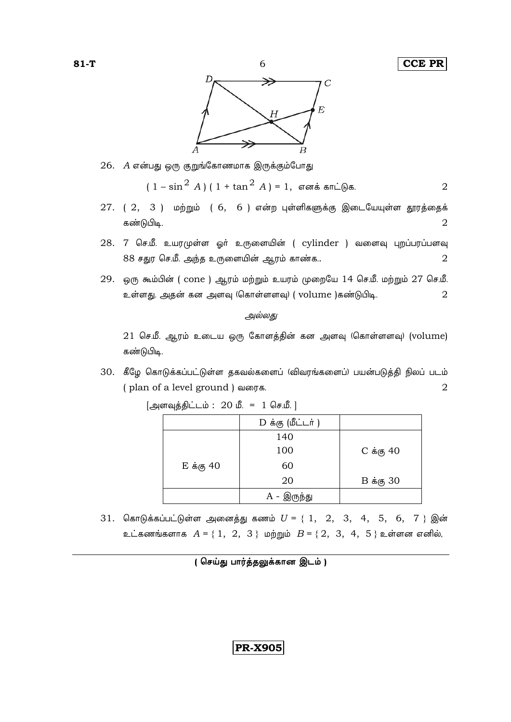

26. A என்பது ஒரு குறுங்கோணமாக இருக்கும்போது

$$
(1 - \sin^2 A) (1 + \tan^2 A) = 1
$$
,  $\sigma \circ \pi$  is  $\sin \pi$ .

- $27.$  ( $2, 3$ ) மற்றும் ( $6, 6$ ) என்ற புள்ளிகளுக்கு இடையேயுள்ள தூரத்தைக் கண்டுபிடி.  $\mathcal{D}_{\mathcal{L}}$
- $28.$  7 செ.மீ. உயரமுள்ள ஓர் உருளையின் ( cylinder ) வளைவு புறப்பரப்பளவு 88 சதுர செ.மீ. அந்த உருளையின் ஆரம் காண்க..  $\overline{2}$
- $29.$  ஒரு கூம்பின் (cone ) ஆரம் மற்றும் உயரம் முறையே 14 செ.மீ. மற்றும்  $27$  செ.மீ. உள்ளது. அதன் கன அளவு (கொள்ளளவு) (volume )கண்டுபிடி. 2

### அல்லது

[அளவுத்திட்டம் : 20 மீ. = 1 செ.மீ.]

 $21$  செ.மீ. ஆரம் உடைய ஒரு கோளத்தின் கன அளவு (கொள்ளளவு) (volume) கண்டுபிடி.

30. கீழே கொடுக்கப்பட்டுள்ள தகவல்களைப் (விவரங்களைப்) பயன்படுத்தி நிலப் படம் (plan of a level ground) வரைக. 2

|                   | D க்கு (மீட்டர் ) |                   |
|-------------------|-------------------|-------------------|
|                   | 140               |                   |
|                   | 100               | $C \dot{a}$ கு 40 |
| $E \dot{a}$ கு 40 | 60                |                   |
|                   | 20                | $B \dot{a}$ கு 30 |
|                   | A - இருந்து       |                   |

31. கொடுக்கப்பட்டுள்ள அனைத்து கணம்  $U = \{1, 2, 3, 4, 5, 6, 7\}$  இன் உட்கணங்களாக  $A = \{1, 2, 3\}$  மற்றும்  $B = \{2, 3, 4, 5\}$  உள்ளன எனில்,

$$
\fbox{PR-X905}
$$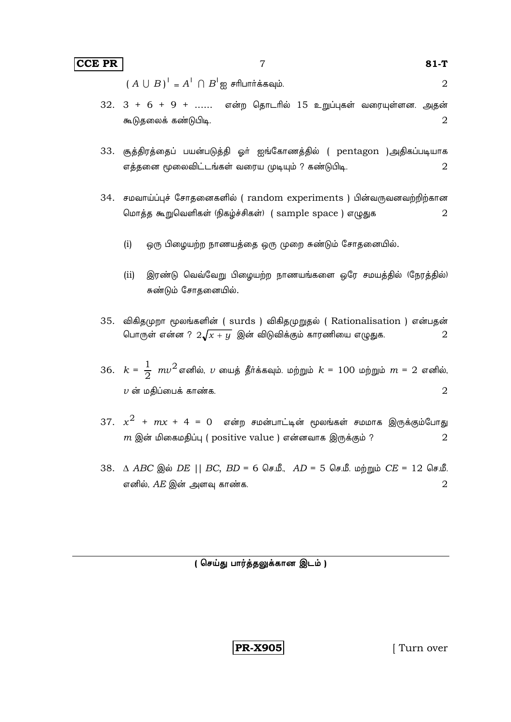$(A \cup B)^{T} = A^{T} \cap B^{T}$ ஐ சரிபார்க்கவும்.

 $\overline{7}$ 

- $32. \ \ 3 + 6 + 9 + \ldots$  என்ற தொடரில் 15 உறுப்புகள் வரையுள்ளன. அதன் கூடுதலைக் கண்டுபிடி.  $\overline{2}$
- 33. சூத்திரத்தைப் பயன்படுத்தி ஓர் ஐங்கோணத்தில் ( pentagon )அதிகப்படியாக எத்தனை மூலைவிட்டங்கள் வரைய முடியும் ? கண்டுபிடி. 2
- 34. சமவாய்ப்புச் சோதனைகளில் ( random experiments ) பின்வருவனவற்றிற்கான மொத்த கூறுவெளிகள் (நிகழ்ச்சிகள்) (sample space) எழுதுக  $\overline{2}$ 
	- $(i)$ ஒரு பிழையற்ற நாணயத்தை ஒரு முறை சுண்டும் சோதனையில்.
	- (ii) இரண்டு வெவ்வேறு பிழையற்ற நாணயங்களை ஒரே சமயத்தில் (நேரத்தில்) சுண்டும் சோதனையில்.
- 35. விகிதமுறா மூலங்களின் ( surds ) விகிதமுறுதல் ( Rationalisation ) என்பதன் பொருள் என்ன ?  $2\sqrt{x+y}$  இன் விடுவிக்கும் காரணியை எழுதுக.  $\overline{2}$
- 36.  $k = \frac{1}{2} mv^2$  எனில்,  $v$  யைத் தீர்க்கவும். மற்றும்  $k = 100$  மற்றும்  $m = 2$  எனில்,  $\overline{\nu}$  ன் மதிப்பைக் காண்க.  $\overline{2}$
- 37.  $x^2$  +  $mx$  + 4 = 0 என்ற சமன்பாட்டின் மூலங்கள் சமமாக இருக்கும்போது  $m$  இன் மிகைமதிப்பு (positive value ) என்னவாக இருக்கும் ?  $\overline{2}$
- 38. Δ ABC இல் DE || BC, BD = 6 செ.மீ., AD = 5 செ.மீ. மற்றும் CE = 12 செ.மீ. எனில்,  $AE$  இன் அளவு காண்க.  $\overline{2}$

(செய்து பார்த்தலுக்கான இடம்)

**PR-X905** 

[Turn over

 $\overline{2}$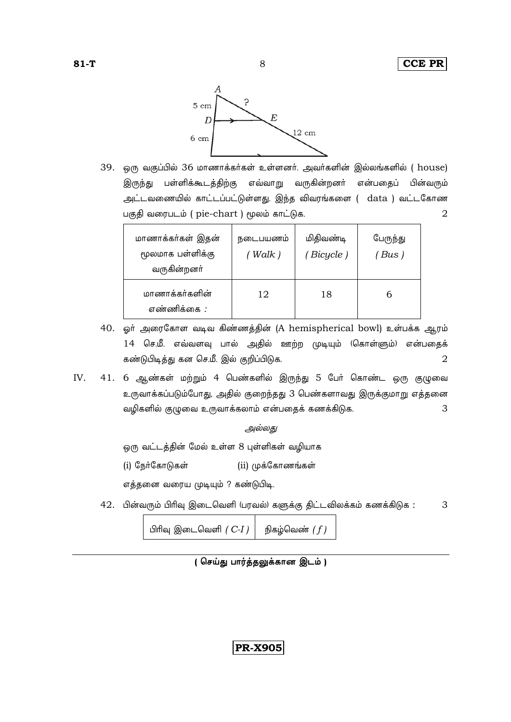

8

39. ஒரு வகுப்பில் 36 மாணாக்கர்கள் உள்ளனர். அவர்களின் இல்லங்களில் ( house) இருந்து பள்ளிக்கூடத்திற்கு எவ்வாறு வருகின்றனர் என்பதைப் பின்வரும் அட்டவணையில் காட்டப்பட்டுள்ளது. இந்த விவரங்களை (adta ) வட்டகோண பகுதி வரைபடம் ( pie-chart ) மூலம் காட்டுக.  $\overline{2}$ 

| மாணாக்கர்கள் இதன்<br>மூலமாக பள்ளிக்கு<br>வருகின்றனர் | நடைபயணம்<br>(Walk ) | மிதிவண்டி<br>(Bicycle) | பேருந்து<br>$'Bus$ ) |
|------------------------------------------------------|---------------------|------------------------|----------------------|
| மாணாக்கர்களின்<br>எண்ணிக்கை :                        | 12                  | 18                     | h                    |

- 40. ஓர் அரைகோள வடிவ கிண்ணத்தின் (A hemispherical bowl) உள்பக்க ஆரம் 14 செ.மீ. எவ்வளவு பால் அதில் ஊற்ற முடியும் (கொள்ளும்) என்பதைக் கண்டுபிடித்து கன செ.மீ. இல் குறிப்பிடுக.  $\overline{2}$
- IV. 41. 6 ஆண்கள் மற்றும் 4 பெண்களில் இருந்து 5 பேர் கொண்ட ஒரு குழுவை உருவாக்கப்படும்போது, அதில் குறைந்தது 3 பெண்களாவது இருக்குமாறு எத்தனை வழிகளில் குழுவை உருவாக்கலாம் என்பதைக் கணக்கிடுக. 3

அல்லது

ஒரு வட்டத்தின் மேல் உள்ள 8 புள்ளிகள் வழியாக

(i) நேர்கோடுகள் (ii) முக்கோணங்கள்

எத்தனை வரைய முடியும் ? கண்டுபிடி.

42. பின்வரும் பிரிவு இடைவெளி (பரவல்) களுக்கு திட்டவிலக்கம் கணக்கிடுக : 3

> பிரிவு இடைவெளி  $(C-I)$ நிகழ்வெண்  $(f)$

**PR-X905**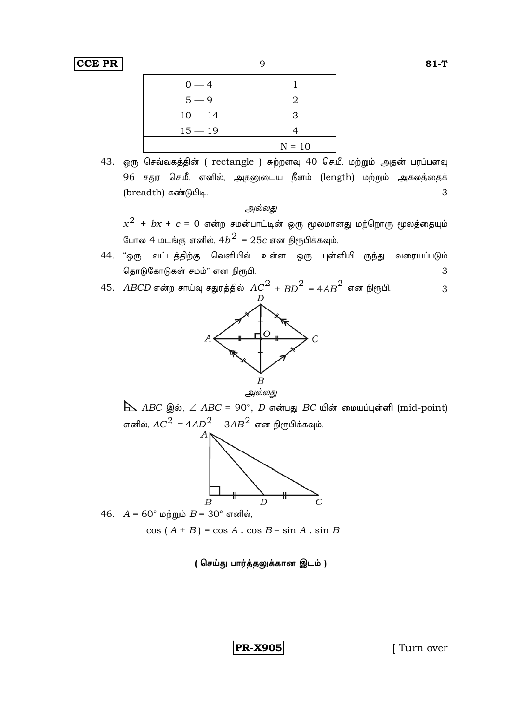|           | ╯        |
|-----------|----------|
| $0 - 4$   |          |
| $5 - 9$   | 2        |
| $10 - 14$ | 3        |
| $15 - 19$ |          |
|           | $N = 10$ |

43. ஒரு செவ்வகத்தின் ( rectangle ) சுற்றளவு 40 செ.மீ. மற்றும் அதன் பரப்பளவு 96 சதுர செ.மீ. எனில், அதனுடைய நீளம் (length) மற்றும் அகலத்தைக் (breadth) கண்டுபிடி. 3

### அல்லது

 $\mathbf Q$ 

 $x^2$  +  $bx$  +  $c$  = 0 என்ற சமன்பாட்டின் ஒரு மூலமானது மற்றொரு மூலத்தையும் போல 4 மடங்கு எனில். 4 $b^2$  = 25 $c$  என நிரூபிக்கவம்.

- 44. "ஒரு வட்டத்திற்கு வெளியில் உள்ள ஒரு புள்ளியி ருந்து வரையப்படும் தொடுகோடுகள் சமம்" என நிரூபி. 3
- 45. *ABCD* என்ற சாய்வு சதுரத்தில்  $AC^2$  +  $BD^2$  = 4 $AB^2$  என நிரூபி. 3



 $\Delta$  ABC இல்,  $\angle$  ABC = 90°, D என்பது BC யின் மையப்புள்ளி (mid-point) எனில்,  $AC^2 = 4AD^2 - 3AB^2$  என நிரூபிக்கவும்.



46.  $A = 60^\circ$  மற்றும்  $B = 30^\circ$  எனில்,

 $cos(A + B) = cos A \cdot cos B - sin A \cdot sin B$ 

(செய்து பார்த்தலுக்கான இடம்)

**PR-X905** 

[Turn over